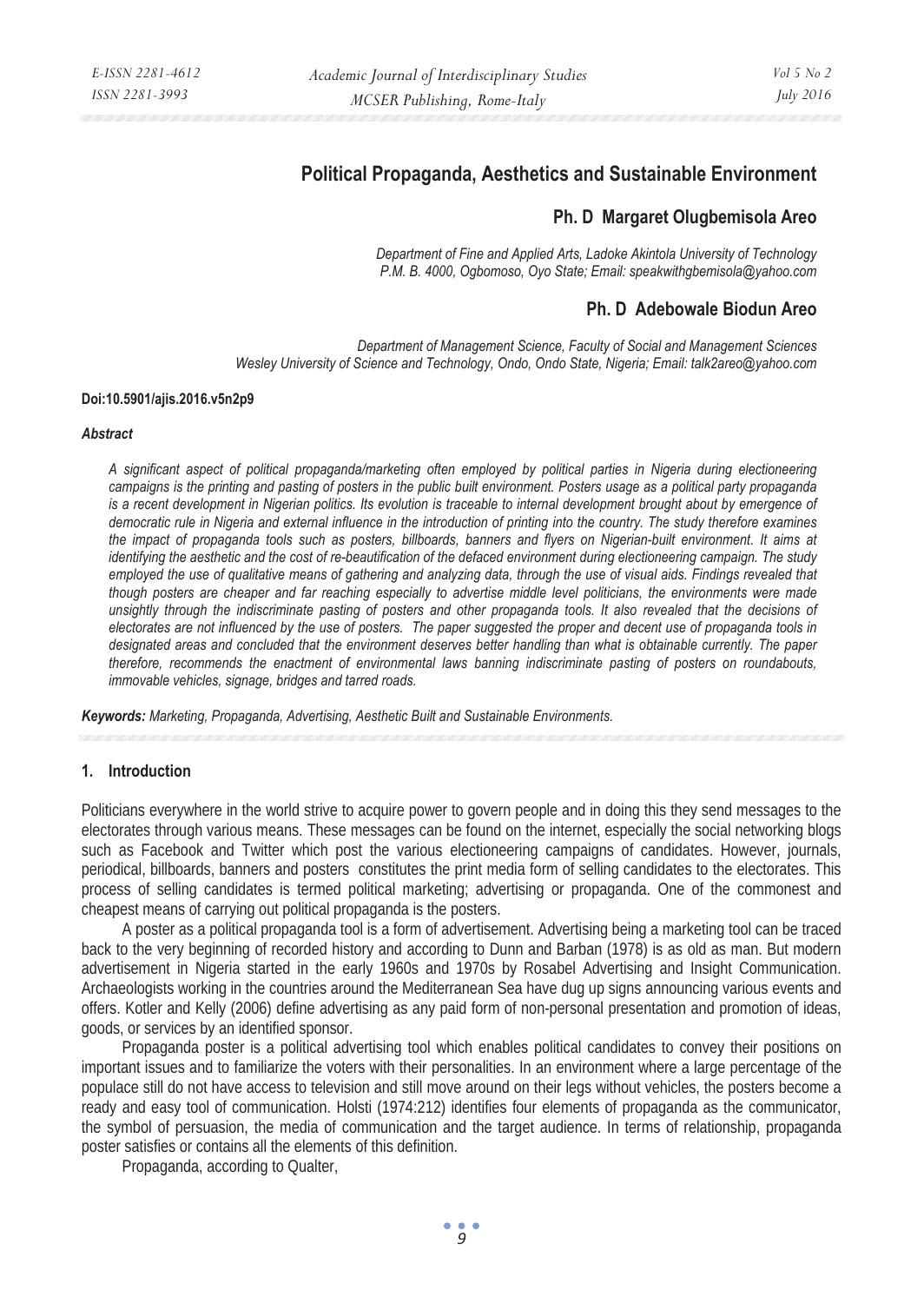# **Political Propaganda, Aesthetics and Sustainable Environment**

## **Ph. D Margaret Olugbemisola Areo**

*Department of Fine and Applied Arts, Ladoke Akintola University of Technology P.M. B. 4000, Ogbomoso, Oyo State; Email: speakwithgbemisola@yahoo.com* 

# **Ph. D Adebowale Biodun Areo**

*Department of Management Science, Faculty of Social and Management Sciences Wesley University of Science and Technology, Ondo, Ondo State, Nigeria; Email: talk2areo@yahoo.com* 

#### **Doi:10.5901/ajis.2016.v5n2p9**

#### *Abstract*

*A significant aspect of political propaganda/marketing often employed by political parties in Nigeria during electioneering campaigns is the printing and pasting of posters in the public built environment. Posters usage as a political party propaganda is a recent development in Nigerian politics. Its evolution is traceable to internal development brought about by emergence of democratic rule in Nigeria and external influence in the introduction of printing into the country. The study therefore examines the impact of propaganda tools such as posters, billboards, banners and flyers on Nigerian-built environment. It aims at identifying the aesthetic and the cost of re-beautification of the defaced environment during electioneering campaign. The study employed the use of qualitative means of gathering and analyzing data, through the use of visual aids. Findings revealed that though posters are cheaper and far reaching especially to advertise middle level politicians, the environments were made*  unsightly through the indiscriminate pasting of posters and other propaganda tools. It also revealed that the decisions of *electorates are not influenced by the use of posters. The paper suggested the proper and decent use of propaganda tools in designated areas and concluded that the environment deserves better handling than what is obtainable currently. The paper therefore, recommends the enactment of environmental laws banning indiscriminate pasting of posters on roundabouts, immovable vehicles, signage, bridges and tarred roads.* 

*Keywords: Marketing, Propaganda, Advertising, Aesthetic Built and Sustainable Environments.* 

### **1. Introduction**

Politicians everywhere in the world strive to acquire power to govern people and in doing this they send messages to the electorates through various means. These messages can be found on the internet, especially the social networking blogs such as Facebook and Twitter which post the various electioneering campaigns of candidates. However, journals, periodical, billboards, banners and posters constitutes the print media form of selling candidates to the electorates. This process of selling candidates is termed political marketing; advertising or propaganda. One of the commonest and cheapest means of carrying out political propaganda is the posters.

A poster as a political propaganda tool is a form of advertisement. Advertising being a marketing tool can be traced back to the very beginning of recorded history and according to Dunn and Barban (1978) is as old as man. But modern advertisement in Nigeria started in the early 1960s and 1970s by Rosabel Advertising and Insight Communication. Archaeologists working in the countries around the Mediterranean Sea have dug up signs announcing various events and offers. Kotler and Kelly (2006) define advertising as any paid form of non-personal presentation and promotion of ideas, goods, or services by an identified sponsor.

Propaganda poster is a political advertising tool which enables political candidates to convey their positions on important issues and to familiarize the voters with their personalities. In an environment where a large percentage of the populace still do not have access to television and still move around on their legs without vehicles, the posters become a ready and easy tool of communication. Holsti (1974:212) identifies four elements of propaganda as the communicator, the symbol of persuasion, the media of communication and the target audience. In terms of relationship, propaganda poster satisfies or contains all the elements of this definition.

Propaganda, according to Qualter,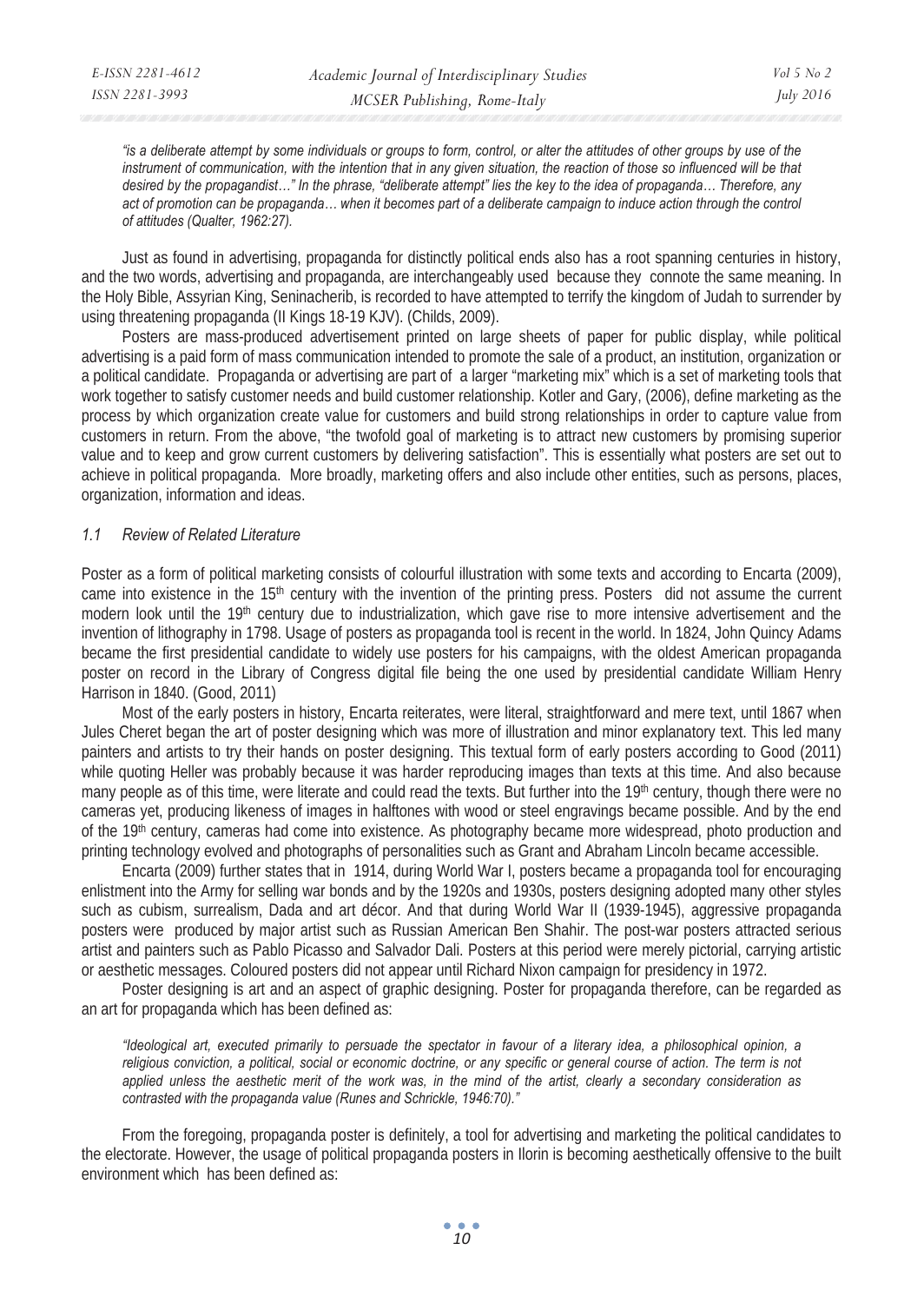*"is a deliberate attempt by some individuals or groups to form, control, or alter the attitudes of other groups by use of the*  instrument of communication, with the intention that in any given situation, the reaction of those so influenced will be that *desired by the propagandist…" In the phrase, "deliberate attempt" lies the key to the idea of propaganda… Therefore, any*  act of promotion can be propaganda... when it becomes part of a deliberate campaign to induce action through the control *of attitudes (Qualter, 1962:27).* 

Just as found in advertising, propaganda for distinctly political ends also has a root spanning centuries in history, and the two words, advertising and propaganda, are interchangeably used because they connote the same meaning. In the Holy Bible, Assyrian King, Seninacherib, is recorded to have attempted to terrify the kingdom of Judah to surrender by using threatening propaganda (II Kings 18-19 KJV). (Childs, 2009).

Posters are mass-produced advertisement printed on large sheets of paper for public display, while political advertising is a paid form of mass communication intended to promote the sale of a product, an institution, organization or a political candidate. Propaganda or advertising are part of a larger "marketing mix" which is a set of marketing tools that work together to satisfy customer needs and build customer relationship. Kotler and Gary, (2006), define marketing as the process by which organization create value for customers and build strong relationships in order to capture value from customers in return. From the above, "the twofold goal of marketing is to attract new customers by promising superior value and to keep and grow current customers by delivering satisfaction". This is essentially what posters are set out to achieve in political propaganda. More broadly, marketing offers and also include other entities, such as persons, places, organization, information and ideas.

### *1.1 Review of Related Literature*

Poster as a form of political marketing consists of colourful illustration with some texts and according to Encarta (2009), came into existence in the  $15<sup>th</sup>$  century with the invention of the printing press. Posters did not assume the current modern look until the 19<sup>th</sup> century due to industrialization, which gave rise to more intensive advertisement and the invention of lithography in 1798. Usage of posters as propaganda tool is recent in the world. In 1824, John Quincy Adams became the first presidential candidate to widely use posters for his campaigns, with the oldest American propaganda poster on record in the Library of Congress digital file being the one used by presidential candidate William Henry Harrison in 1840. (Good, 2011)

Most of the early posters in history, Encarta reiterates, were literal, straightforward and mere text, until 1867 when Jules Cheret began the art of poster designing which was more of illustration and minor explanatory text. This led many painters and artists to try their hands on poster designing. This textual form of early posters according to Good (2011) while quoting Heller was probably because it was harder reproducing images than texts at this time. And also because many people as of this time, were literate and could read the texts. But further into the 19th century, though there were no cameras yet, producing likeness of images in halftones with wood or steel engravings became possible. And by the end of the 19th century, cameras had come into existence. As photography became more widespread, photo production and printing technology evolved and photographs of personalities such as Grant and Abraham Lincoln became accessible.

Encarta (2009) further states that in 1914, during World War I, posters became a propaganda tool for encouraging enlistment into the Army for selling war bonds and by the 1920s and 1930s, posters designing adopted many other styles such as cubism, surrealism, Dada and art décor. And that during World War II (1939-1945), aggressive propaganda posters were produced by major artist such as Russian American Ben Shahir. The post-war posters attracted serious artist and painters such as Pablo Picasso and Salvador Dali. Posters at this period were merely pictorial, carrying artistic or aesthetic messages. Coloured posters did not appear until Richard Nixon campaign for presidency in 1972.

Poster designing is art and an aspect of graphic designing. Poster for propaganda therefore, can be regarded as an art for propaganda which has been defined as:

*"Ideological art, executed primarily to persuade the spectator in favour of a literary idea, a philosophical opinion, a*  religious conviction, a political, social or economic doctrine, or any specific or general course of action. The term is not *applied unless the aesthetic merit of the work was, in the mind of the artist, clearly a secondary consideration as contrasted with the propaganda value (Runes and Schrickle, 1946:70)."* 

From the foregoing, propaganda poster is definitely, a tool for advertising and marketing the political candidates to the electorate. However, the usage of political propaganda posters in Ilorin is becoming aesthetically offensive to the built environment which has been defined as: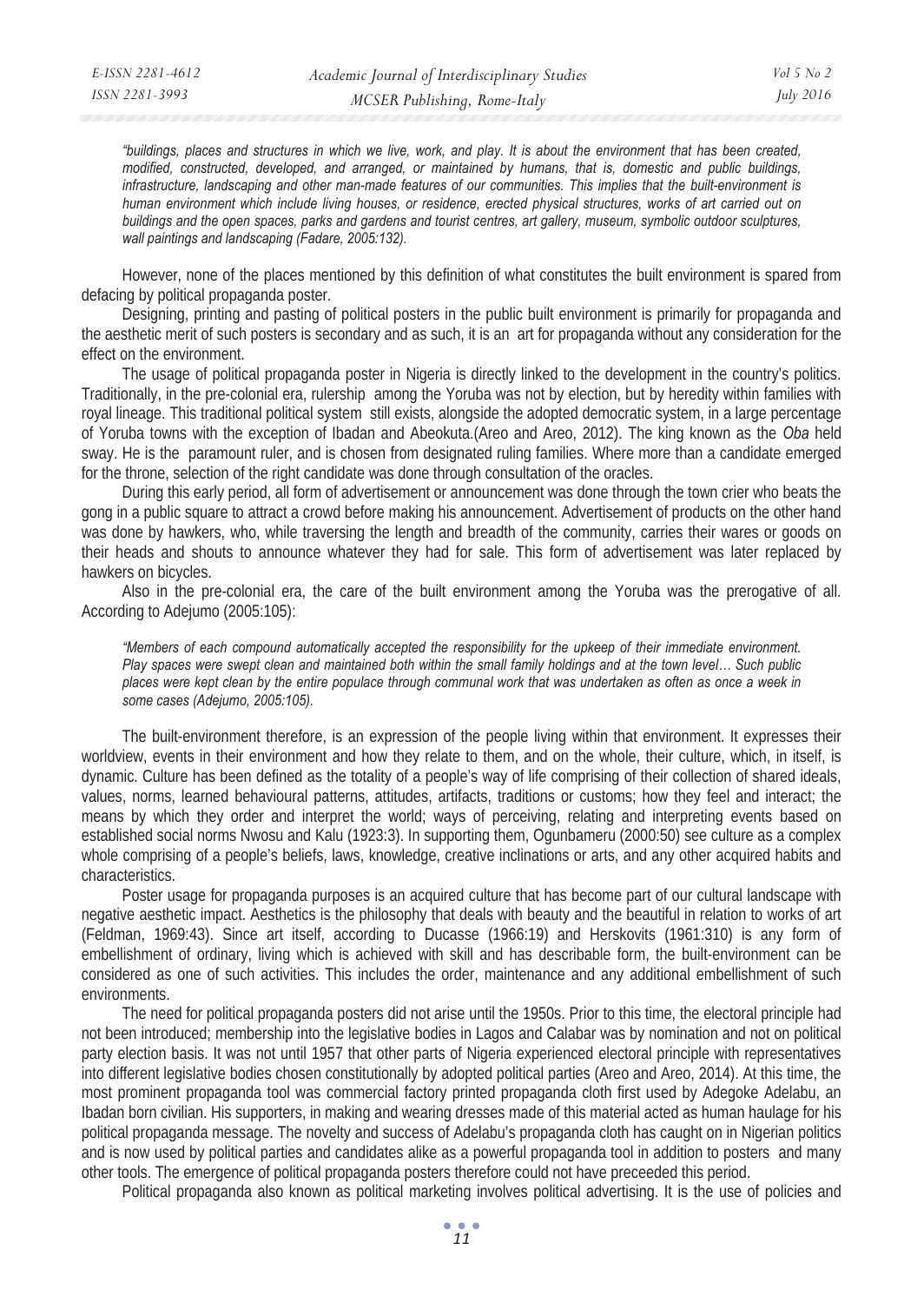*"buildings, places and structures in which we live, work, and play. It is about the environment that has been created, modified, constructed, developed, and arranged, or maintained by humans, that is, domestic and public buildings, infrastructure, landscaping and other man-made features of our communities. This implies that the built-environment is human environment which include living houses, or residence, erected physical structures, works of art carried out on buildings and the open spaces, parks and gardens and tourist centres, art gallery, museum, symbolic outdoor sculptures, wall paintings and landscaping (Fadare, 2005:132).* 

However, none of the places mentioned by this definition of what constitutes the built environment is spared from defacing by political propaganda poster.

Designing, printing and pasting of political posters in the public built environment is primarily for propaganda and the aesthetic merit of such posters is secondary and as such, it is an art for propaganda without any consideration for the effect on the environment.

The usage of political propaganda poster in Nigeria is directly linked to the development in the country's politics. Traditionally, in the pre-colonial era, rulership among the Yoruba was not by election, but by heredity within families with royal lineage. This traditional political system still exists, alongside the adopted democratic system, in a large percentage of Yoruba towns with the exception of Ibadan and Abeokuta.(Areo and Areo, 2012). The king known as the *Oba* held sway. He is the paramount ruler, and is chosen from designated ruling families. Where more than a candidate emerged for the throne, selection of the right candidate was done through consultation of the oracles.

During this early period, all form of advertisement or announcement was done through the town crier who beats the gong in a public square to attract a crowd before making his announcement. Advertisement of products on the other hand was done by hawkers, who, while traversing the length and breadth of the community, carries their wares or goods on their heads and shouts to announce whatever they had for sale. This form of advertisement was later replaced by hawkers on bicycles.

Also in the pre-colonial era, the care of the built environment among the Yoruba was the prerogative of all. According to Adejumo (2005:105):

*"Members of each compound automatically accepted the responsibility for the upkeep of their immediate environment. Play spaces were swept clean and maintained both within the small family holdings and at the town level… Such public places were kept clean by the entire populace through communal work that was undertaken as often as once a week in some cases (Adejumo, 2005:105).* 

The built-environment therefore, is an expression of the people living within that environment. It expresses their worldview, events in their environment and how they relate to them, and on the whole, their culture, which, in itself, is dynamic. Culture has been defined as the totality of a people's way of life comprising of their collection of shared ideals, values, norms, learned behavioural patterns, attitudes, artifacts, traditions or customs; how they feel and interact; the means by which they order and interpret the world; ways of perceiving, relating and interpreting events based on established social norms Nwosu and Kalu (1923:3). In supporting them, Ogunbameru (2000:50) see culture as a complex whole comprising of a people's beliefs, laws, knowledge, creative inclinations or arts, and any other acquired habits and characteristics.

Poster usage for propaganda purposes is an acquired culture that has become part of our cultural landscape with negative aesthetic impact. Aesthetics is the philosophy that deals with beauty and the beautiful in relation to works of art (Feldman, 1969:43). Since art itself, according to Ducasse (1966:19) and Herskovits (1961:310) is any form of embellishment of ordinary, living which is achieved with skill and has describable form, the built-environment can be considered as one of such activities. This includes the order, maintenance and any additional embellishment of such environments.

The need for political propaganda posters did not arise until the 1950s. Prior to this time, the electoral principle had not been introduced; membership into the legislative bodies in Lagos and Calabar was by nomination and not on political party election basis. It was not until 1957 that other parts of Nigeria experienced electoral principle with representatives into different legislative bodies chosen constitutionally by adopted political parties (Areo and Areo, 2014). At this time, the most prominent propaganda tool was commercial factory printed propaganda cloth first used by Adegoke Adelabu, an Ibadan born civilian. His supporters, in making and wearing dresses made of this material acted as human haulage for his political propaganda message. The novelty and success of Adelabu's propaganda cloth has caught on in Nigerian politics and is now used by political parties and candidates alike as a powerful propaganda tool in addition to posters and many other tools. The emergence of political propaganda posters therefore could not have preceeded this period.

Political propaganda also known as political marketing involves political advertising. It is the use of policies and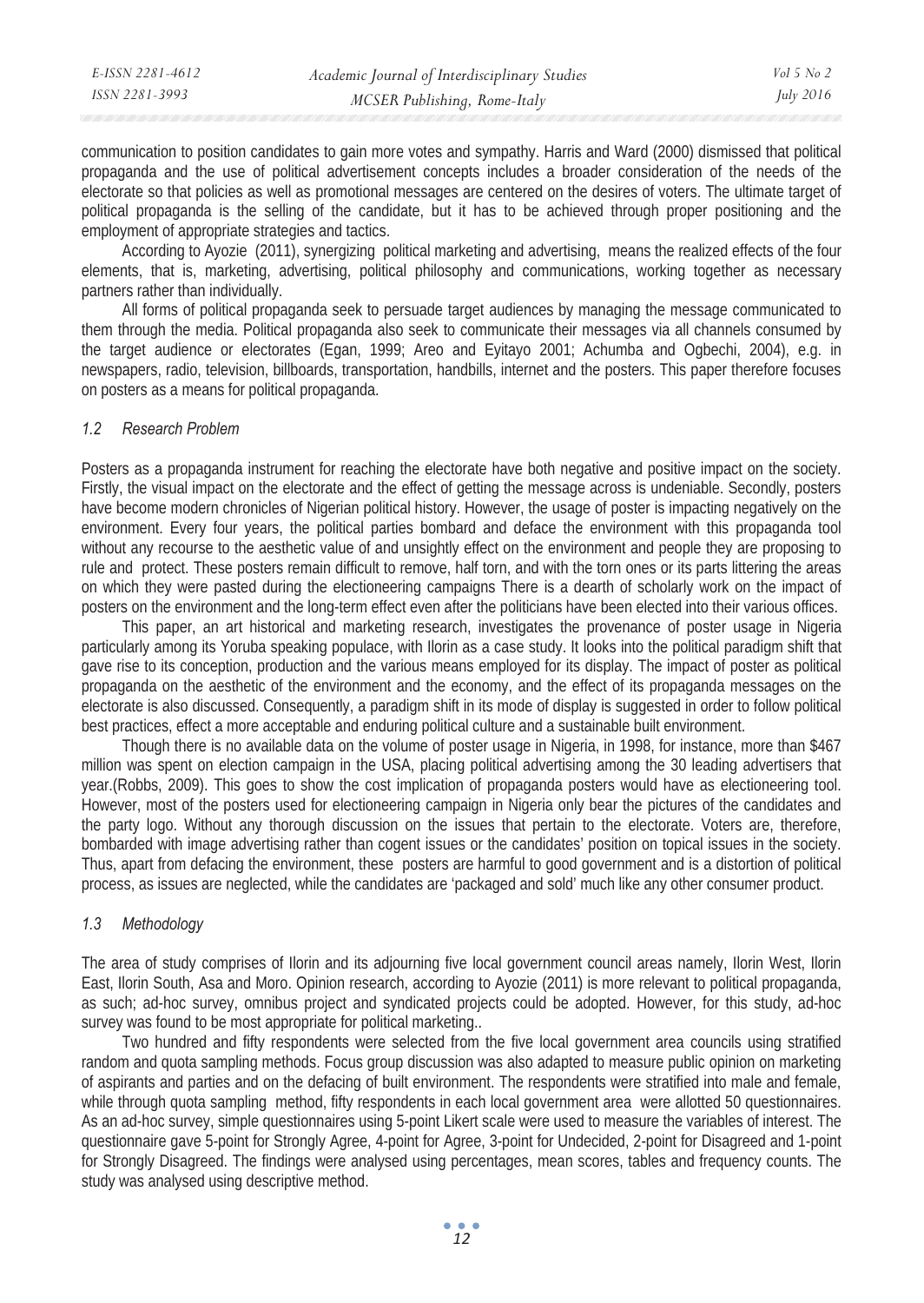| E-ISSN 2281-4612 | Academic Journal of Interdisciplinary Studies | Vol 5 No 2       |
|------------------|-----------------------------------------------|------------------|
| ISSN 2281-3993   | MCSER Publishing, Rome-Italy                  | <i>July 2016</i> |

communication to position candidates to gain more votes and sympathy. Harris and Ward (2000) dismissed that political propaganda and the use of political advertisement concepts includes a broader consideration of the needs of the electorate so that policies as well as promotional messages are centered on the desires of voters. The ultimate target of political propaganda is the selling of the candidate, but it has to be achieved through proper positioning and the employment of appropriate strategies and tactics.

According to Ayozie (2011), synergizing political marketing and advertising, means the realized effects of the four elements, that is, marketing, advertising, political philosophy and communications, working together as necessary partners rather than individually.

All forms of political propaganda seek to persuade target audiences by managing the message communicated to them through the media. Political propaganda also seek to communicate their messages via all channels consumed by the target audience or electorates (Egan, 1999; Areo and Eyitayo 2001; Achumba and Ogbechi, 2004), e.g. in newspapers, radio, television, billboards, transportation, handbills, internet and the posters. This paper therefore focuses on posters as a means for political propaganda.

### *1.2 Research Problem*

Posters as a propaganda instrument for reaching the electorate have both negative and positive impact on the society. Firstly, the visual impact on the electorate and the effect of getting the message across is undeniable. Secondly, posters have become modern chronicles of Nigerian political history. However, the usage of poster is impacting negatively on the environment. Every four years, the political parties bombard and deface the environment with this propaganda tool without any recourse to the aesthetic value of and unsightly effect on the environment and people they are proposing to rule and protect. These posters remain difficult to remove, half torn, and with the torn ones or its parts littering the areas on which they were pasted during the electioneering campaigns There is a dearth of scholarly work on the impact of posters on the environment and the long-term effect even after the politicians have been elected into their various offices.

This paper, an art historical and marketing research, investigates the provenance of poster usage in Nigeria particularly among its Yoruba speaking populace, with Ilorin as a case study. It looks into the political paradigm shift that gave rise to its conception, production and the various means employed for its display. The impact of poster as political propaganda on the aesthetic of the environment and the economy, and the effect of its propaganda messages on the electorate is also discussed. Consequently, a paradigm shift in its mode of display is suggested in order to follow political best practices, effect a more acceptable and enduring political culture and a sustainable built environment.

Though there is no available data on the volume of poster usage in Nigeria, in 1998, for instance, more than \$467 million was spent on election campaign in the USA, placing political advertising among the 30 leading advertisers that year.(Robbs, 2009). This goes to show the cost implication of propaganda posters would have as electioneering tool. However, most of the posters used for electioneering campaign in Nigeria only bear the pictures of the candidates and the party logo. Without any thorough discussion on the issues that pertain to the electorate. Voters are, therefore, bombarded with image advertising rather than cogent issues or the candidates' position on topical issues in the society. Thus, apart from defacing the environment, these posters are harmful to good government and is a distortion of political process, as issues are neglected, while the candidates are 'packaged and sold' much like any other consumer product.

## *1.3 Methodology*

The area of study comprises of Ilorin and its adjourning five local government council areas namely, Ilorin West, Ilorin East, Ilorin South, Asa and Moro. Opinion research, according to Ayozie (2011) is more relevant to political propaganda, as such; ad-hoc survey, omnibus project and syndicated projects could be adopted. However, for this study, ad-hoc survey was found to be most appropriate for political marketing..

Two hundred and fifty respondents were selected from the five local government area councils using stratified random and quota sampling methods. Focus group discussion was also adapted to measure public opinion on marketing of aspirants and parties and on the defacing of built environment. The respondents were stratified into male and female, while through quota sampling method, fifty respondents in each local government area were allotted 50 questionnaires. As an ad-hoc survey, simple questionnaires using 5-point Likert scale were used to measure the variables of interest. The questionnaire gave 5-point for Strongly Agree, 4-point for Agree, 3-point for Undecided, 2-point for Disagreed and 1-point for Strongly Disagreed. The findings were analysed using percentages, mean scores, tables and frequency counts. The study was analysed using descriptive method.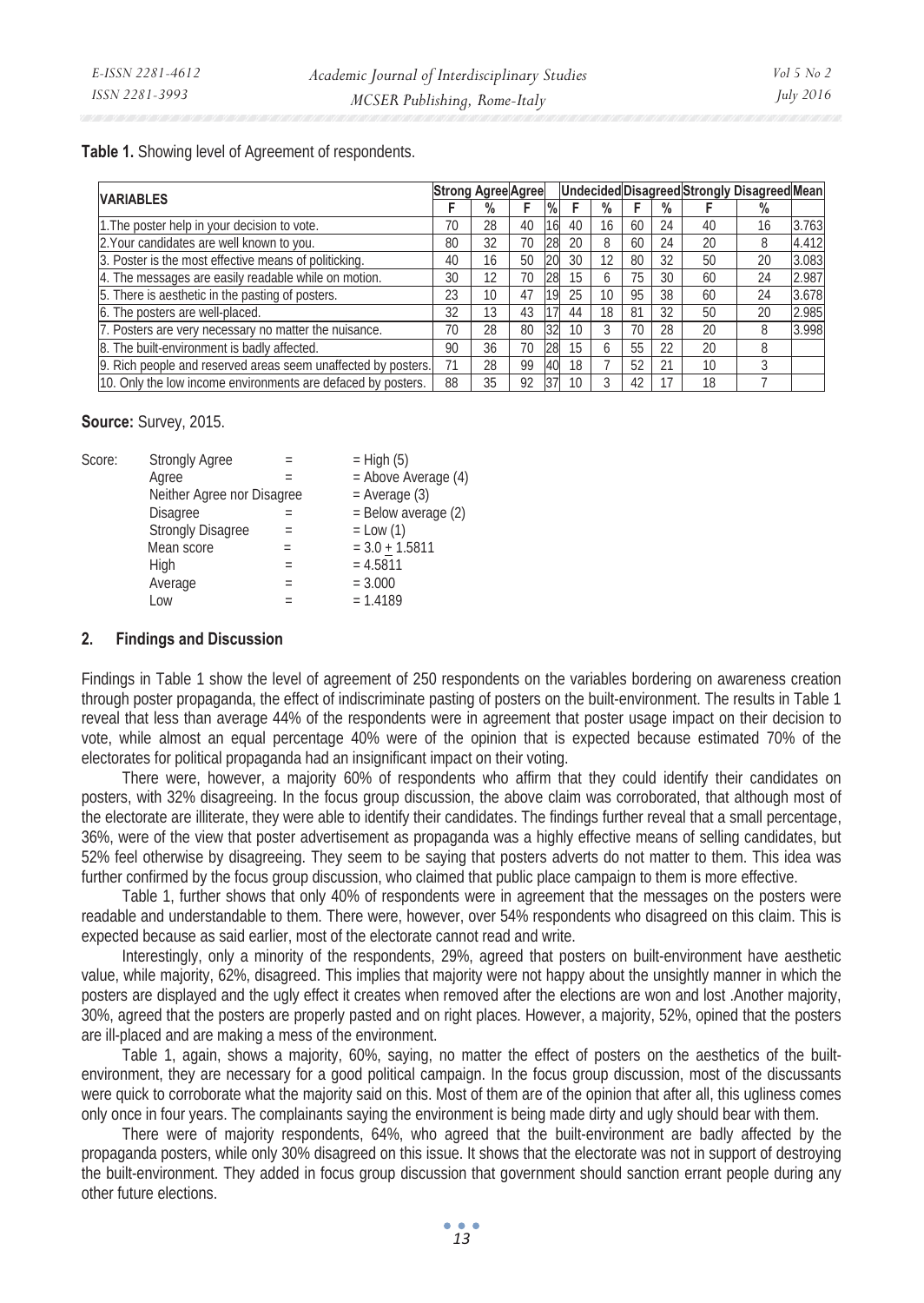**Table 1.** Showing level of Agreement of respondents.

| <b>VARIABLES</b>                                              |    | <b>Strong Agree Agree</b> |    |      |    |              |     |      |    | Undecided Disagreed Strongly Disagreed Mean |       |
|---------------------------------------------------------------|----|---------------------------|----|------|----|--------------|-----|------|----|---------------------------------------------|-------|
|                                                               |    | $\%$                      |    | $\%$ |    | $\%$         |     | $\%$ |    | $\%$                                        |       |
| 1. The poster help in your decision to vote.                  | 70 | 28                        | 40 | 161  | 40 | 16           | 60  | 24   | 40 | 16                                          | 3.763 |
| 2. Your candidates are well known to you.                     | 80 | 32                        | 70 | 28   | 20 | 8            | 60  | 24   | 20 | 8                                           | 4.412 |
| 3. Poster is the most effective means of politicking.         | 40 | 16                        | 50 |      | 30 | 12           | 80  | 32   | 50 | 20                                          | 3.083 |
| 4. The messages are easily readable while on motion.          | 30 | 12                        | 70 | 28   | 15 | <sub>0</sub> | 75  | 30   | 60 | 24                                          | 2.987 |
| 5. There is aesthetic in the pasting of posters.              | 23 | 10                        | 47 | 9    | 25 | 10           | 95  | 38   | 60 | 24                                          | 3.678 |
| 6. The posters are well-placed.                               | 32 | 13                        | 43 |      | 44 | 18           | -81 | 32   | 50 | 20                                          | 2.985 |
| 7. Posters are very necessary no matter the nuisance.         | 70 | 28                        | 80 |      | 10 | 3            | 70  | 28   | 20 | 8                                           | 3.998 |
| 8. The built-environment is badly affected.                   | 90 | 36                        | 70 | 28   | 15 | <sub>6</sub> | 55  | 22   | 20 | 8                                           |       |
| 9. Rich people and reserved areas seem unaffected by posters. | 71 | 28                        | 99 | 40   | 18 |              | 52  | 21   | 10 |                                             |       |
| 10. Only the low income environments are defaced by posters.  | 88 | 35                        | 92 | 37   | 10 |              | 42  |      | 18 |                                             |       |

**Source:** Survey, 2015.

| Score: | <b>Strongly Agree</b>      | $=$ | $=$ High $(5)$          |
|--------|----------------------------|-----|-------------------------|
|        | Agree                      |     | $=$ Above Average (4)   |
|        | Neither Agree nor Disagree |     | $=$ Average $(3)$       |
|        | <b>Disagree</b>            | $=$ | $=$ Below average $(2)$ |
|        | <b>Strongly Disagree</b>   | $=$ | $=$ Low (1)             |
|        | Mean score                 |     | $= 3.0 + 1.5811$        |
|        | High                       | $=$ | $= 4.5811$              |
|        | Average                    | $=$ | $= 3.000$               |
|        | Low                        | $=$ | $= 1.4189$              |

### **2. Findings and Discussion**

Findings in Table 1 show the level of agreement of 250 respondents on the variables bordering on awareness creation through poster propaganda, the effect of indiscriminate pasting of posters on the built-environment. The results in Table 1 reveal that less than average 44% of the respondents were in agreement that poster usage impact on their decision to vote, while almost an equal percentage 40% were of the opinion that is expected because estimated 70% of the electorates for political propaganda had an insignificant impact on their voting.

There were, however, a majority 60% of respondents who affirm that they could identify their candidates on posters, with 32% disagreeing. In the focus group discussion, the above claim was corroborated, that although most of the electorate are illiterate, they were able to identify their candidates. The findings further reveal that a small percentage, 36%, were of the view that poster advertisement as propaganda was a highly effective means of selling candidates, but 52% feel otherwise by disagreeing. They seem to be saying that posters adverts do not matter to them. This idea was further confirmed by the focus group discussion, who claimed that public place campaign to them is more effective.

Table 1, further shows that only 40% of respondents were in agreement that the messages on the posters were readable and understandable to them. There were, however, over 54% respondents who disagreed on this claim. This is expected because as said earlier, most of the electorate cannot read and write.

Interestingly, only a minority of the respondents, 29%, agreed that posters on built-environment have aesthetic value, while majority, 62%, disagreed. This implies that majority were not happy about the unsightly manner in which the posters are displayed and the ugly effect it creates when removed after the elections are won and lost .Another majority, 30%, agreed that the posters are properly pasted and on right places. However, a majority, 52%, opined that the posters are ill-placed and are making a mess of the environment.

Table 1, again, shows a majority, 60%, saying, no matter the effect of posters on the aesthetics of the builtenvironment, they are necessary for a good political campaign. In the focus group discussion, most of the discussants were quick to corroborate what the majority said on this. Most of them are of the opinion that after all, this ugliness comes only once in four years. The complainants saying the environment is being made dirty and ugly should bear with them.

There were of majority respondents, 64%, who agreed that the built-environment are badly affected by the propaganda posters, while only 30% disagreed on this issue. It shows that the electorate was not in support of destroying the built-environment. They added in focus group discussion that government should sanction errant people during any other future elections.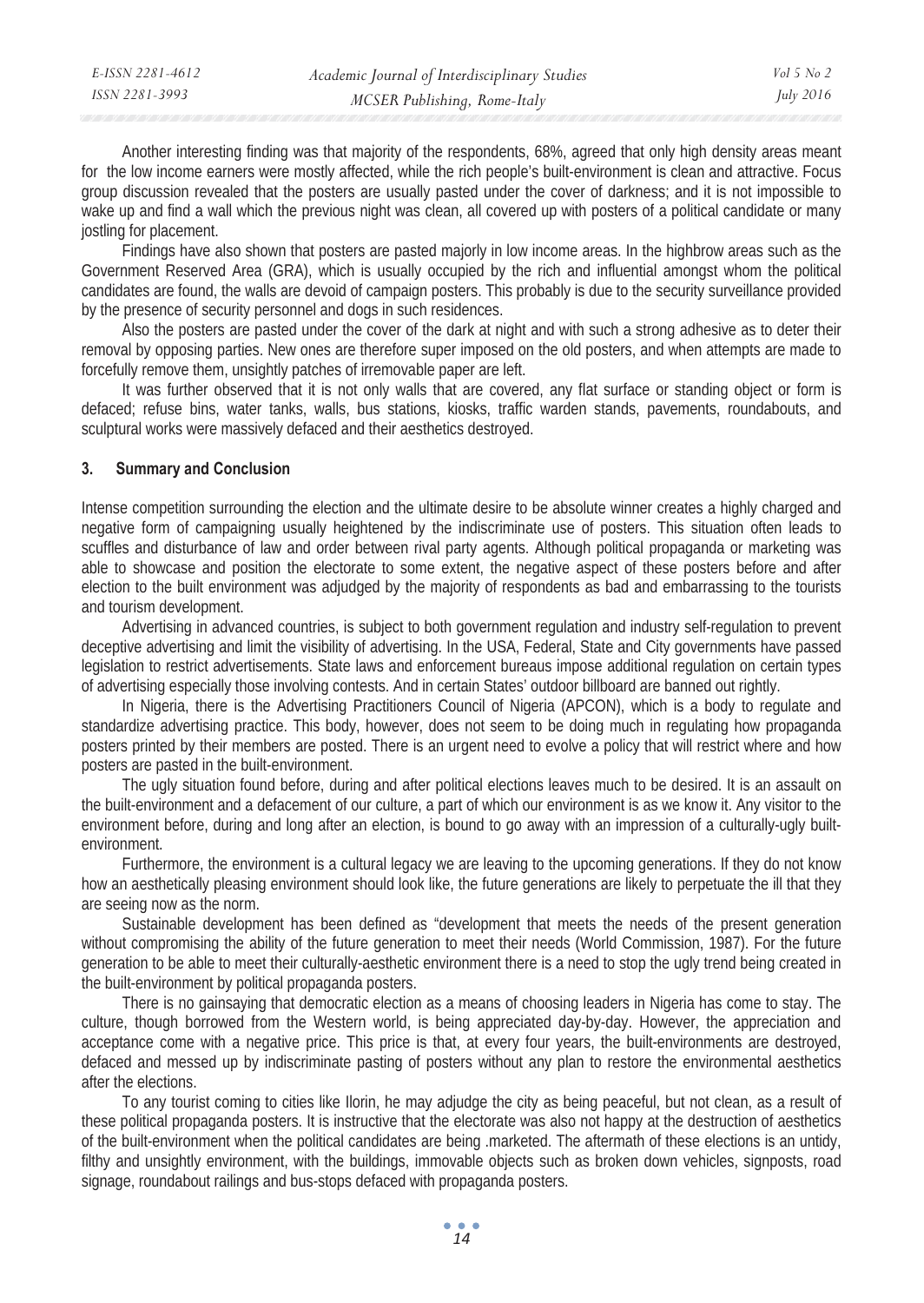Another interesting finding was that majority of the respondents, 68%, agreed that only high density areas meant for the low income earners were mostly affected, while the rich people's built-environment is clean and attractive. Focus group discussion revealed that the posters are usually pasted under the cover of darkness; and it is not impossible to wake up and find a wall which the previous night was clean, all covered up with posters of a political candidate or many jostling for placement.

Findings have also shown that posters are pasted majorly in low income areas. In the highbrow areas such as the Government Reserved Area (GRA), which is usually occupied by the rich and influential amongst whom the political candidates are found, the walls are devoid of campaign posters. This probably is due to the security surveillance provided by the presence of security personnel and dogs in such residences.

Also the posters are pasted under the cover of the dark at night and with such a strong adhesive as to deter their removal by opposing parties. New ones are therefore super imposed on the old posters, and when attempts are made to forcefully remove them, unsightly patches of irremovable paper are left.

It was further observed that it is not only walls that are covered, any flat surface or standing object or form is defaced; refuse bins, water tanks, walls, bus stations, kiosks, traffic warden stands, pavements, roundabouts, and sculptural works were massively defaced and their aesthetics destroyed.

## **3. Summary and Conclusion**

Intense competition surrounding the election and the ultimate desire to be absolute winner creates a highly charged and negative form of campaigning usually heightened by the indiscriminate use of posters. This situation often leads to scuffles and disturbance of law and order between rival party agents. Although political propaganda or marketing was able to showcase and position the electorate to some extent, the negative aspect of these posters before and after election to the built environment was adjudged by the majority of respondents as bad and embarrassing to the tourists and tourism development.

Advertising in advanced countries, is subject to both government regulation and industry self-regulation to prevent deceptive advertising and limit the visibility of advertising. In the USA, Federal, State and City governments have passed legislation to restrict advertisements. State laws and enforcement bureaus impose additional regulation on certain types of advertising especially those involving contests. And in certain States' outdoor billboard are banned out rightly.

In Nigeria, there is the Advertising Practitioners Council of Nigeria (APCON), which is a body to regulate and standardize advertising practice. This body, however, does not seem to be doing much in regulating how propaganda posters printed by their members are posted. There is an urgent need to evolve a policy that will restrict where and how posters are pasted in the built-environment.

The ugly situation found before, during and after political elections leaves much to be desired. It is an assault on the built-environment and a defacement of our culture, a part of which our environment is as we know it. Any visitor to the environment before, during and long after an election, is bound to go away with an impression of a culturally-ugly builtenvironment.

Furthermore, the environment is a cultural legacy we are leaving to the upcoming generations. If they do not know how an aesthetically pleasing environment should look like, the future generations are likely to perpetuate the ill that they are seeing now as the norm.

Sustainable development has been defined as "development that meets the needs of the present generation without compromising the ability of the future generation to meet their needs (World Commission, 1987). For the future generation to be able to meet their culturally-aesthetic environment there is a need to stop the ugly trend being created in the built-environment by political propaganda posters.

There is no gainsaying that democratic election as a means of choosing leaders in Nigeria has come to stay. The culture, though borrowed from the Western world, is being appreciated day-by-day. However, the appreciation and acceptance come with a negative price. This price is that, at every four years, the built-environments are destroyed, defaced and messed up by indiscriminate pasting of posters without any plan to restore the environmental aesthetics after the elections.

To any tourist coming to cities like Ilorin, he may adjudge the city as being peaceful, but not clean, as a result of these political propaganda posters. It is instructive that the electorate was also not happy at the destruction of aesthetics of the built-environment when the political candidates are being .marketed. The aftermath of these elections is an untidy, filthy and unsightly environment, with the buildings, immovable objects such as broken down vehicles, signposts, road signage, roundabout railings and bus-stops defaced with propaganda posters.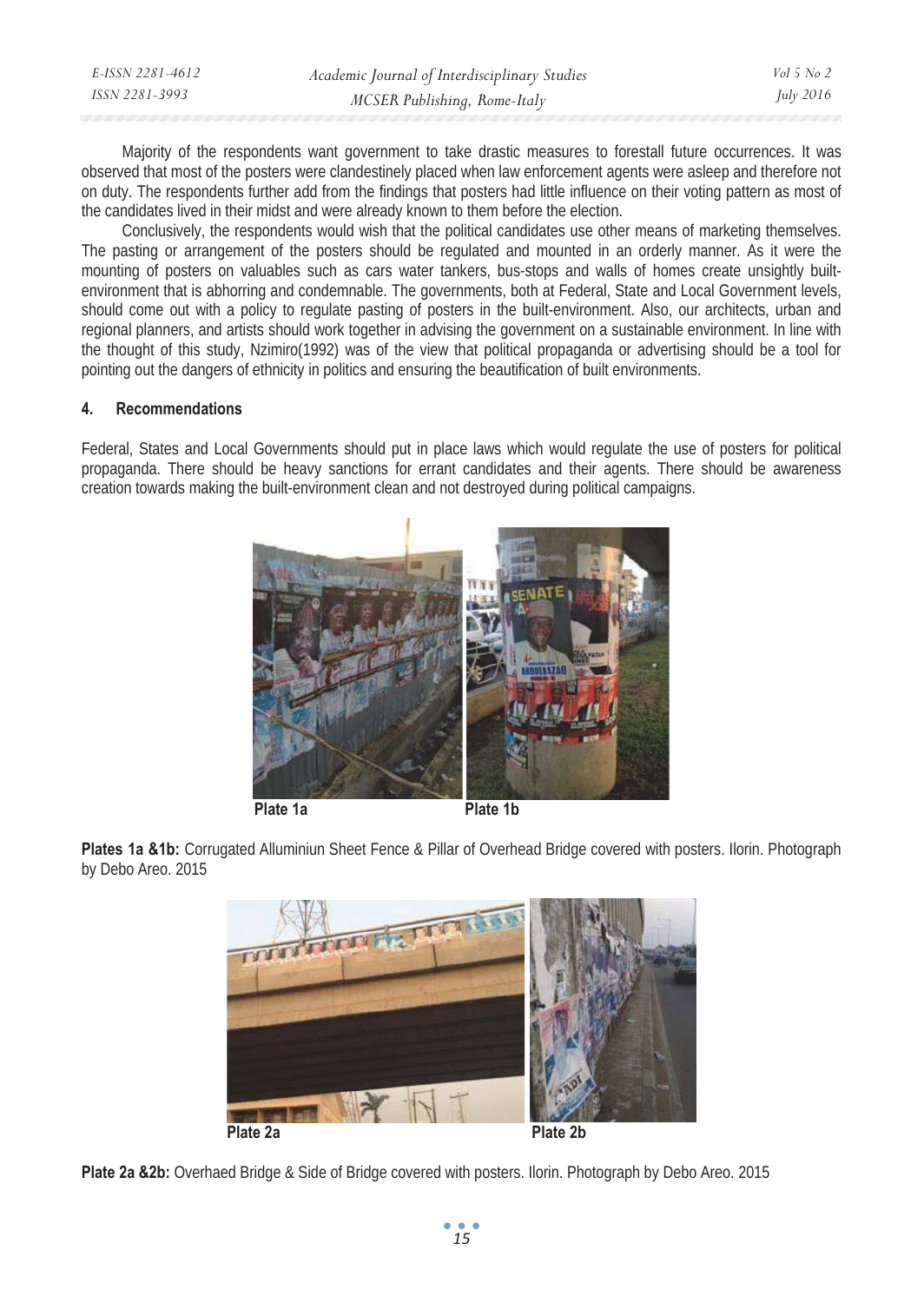| E-ISSN 2281-4612 | Academic Journal of Interdisciplinary Studies | Vol 5 No 2       |
|------------------|-----------------------------------------------|------------------|
| ISSN 2281-3993   | MCSER Publishing, Rome-Italy                  | <i>July 2016</i> |
|                  |                                               |                  |

Majority of the respondents want government to take drastic measures to forestall future occurrences. It was observed that most of the posters were clandestinely placed when law enforcement agents were asleep and therefore not on duty. The respondents further add from the findings that posters had little influence on their voting pattern as most of the candidates lived in their midst and were already known to them before the election.

Conclusively, the respondents would wish that the political candidates use other means of marketing themselves. The pasting or arrangement of the posters should be regulated and mounted in an orderly manner. As it were the mounting of posters on valuables such as cars water tankers, bus-stops and walls of homes create unsightly builtenvironment that is abhorring and condemnable. The governments, both at Federal, State and Local Government levels, should come out with a policy to regulate pasting of posters in the built-environment. Also, our architects, urban and regional planners, and artists should work together in advising the government on a sustainable environment. In line with the thought of this study, Nzimiro(1992) was of the view that political propaganda or advertising should be a tool for pointing out the dangers of ethnicity in politics and ensuring the beautification of built environments.

## **4. Recommendations**

Federal, States and Local Governments should put in place laws which would regulate the use of posters for political propaganda. There should be heavy sanctions for errant candidates and their agents. There should be awareness creation towards making the built-environment clean and not destroyed during political campaigns.



**Plates 1a &1b:** Corrugated Alluminiun Sheet Fence & Pillar of Overhead Bridge covered with posters. Ilorin. Photograph by Debo Areo. 2015



**Plate 2a &2b:** Overhaed Bridge & Side of Bridge covered with posters. Ilorin. Photograph by Debo Areo. 2015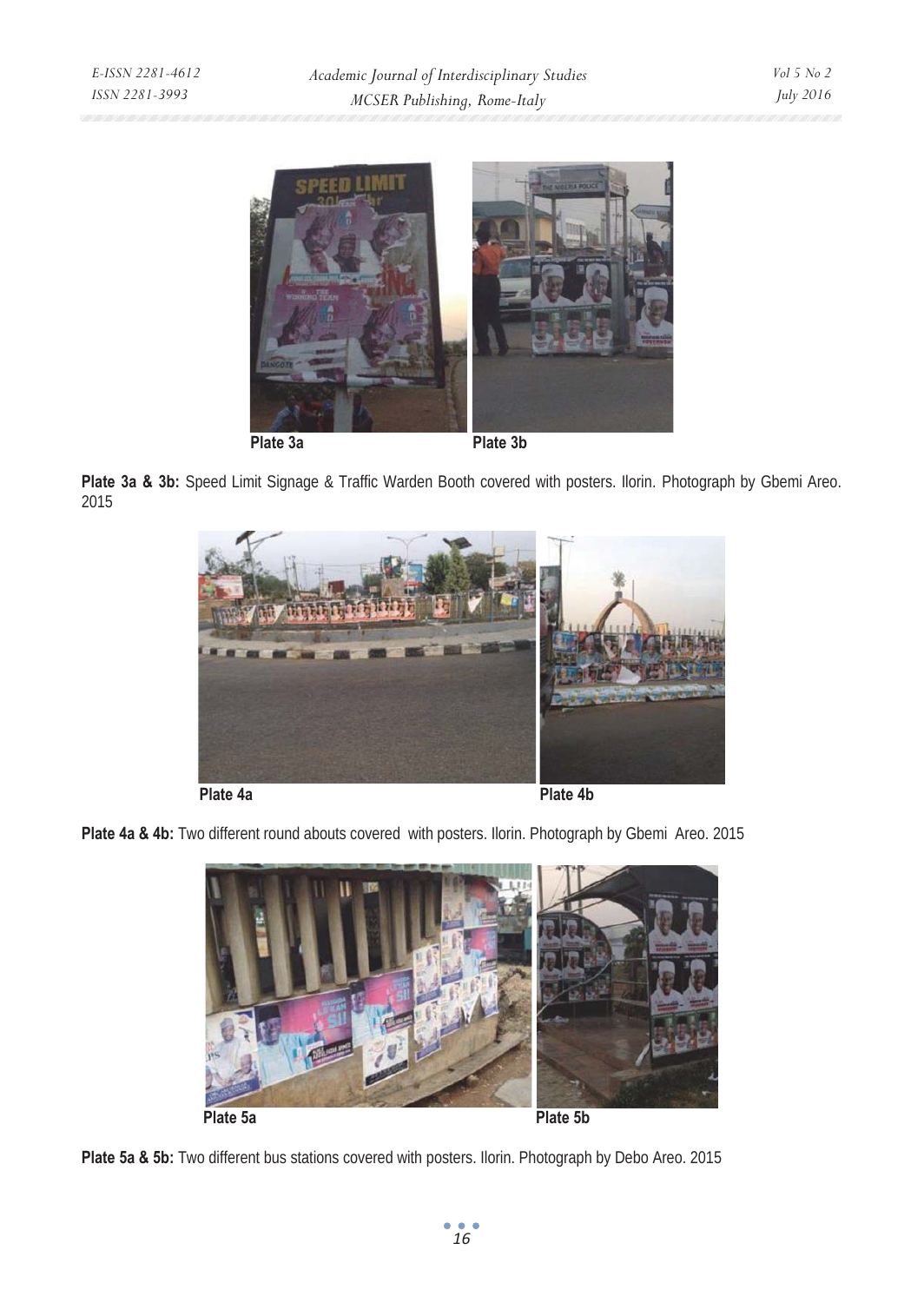

Plate 3a & 3b: Speed Limit Signage & Traffic Warden Booth covered with posters. Ilorin. Photograph by Gbemi Areo. 2015



**Plate 4a & 4b:** Two different round abouts covered with posters. Ilorin. Photograph by Gbemi Areo. 2015



Plate 5a & 5b: Two different bus stations covered with posters. Ilorin. Photograph by Debo Areo. 2015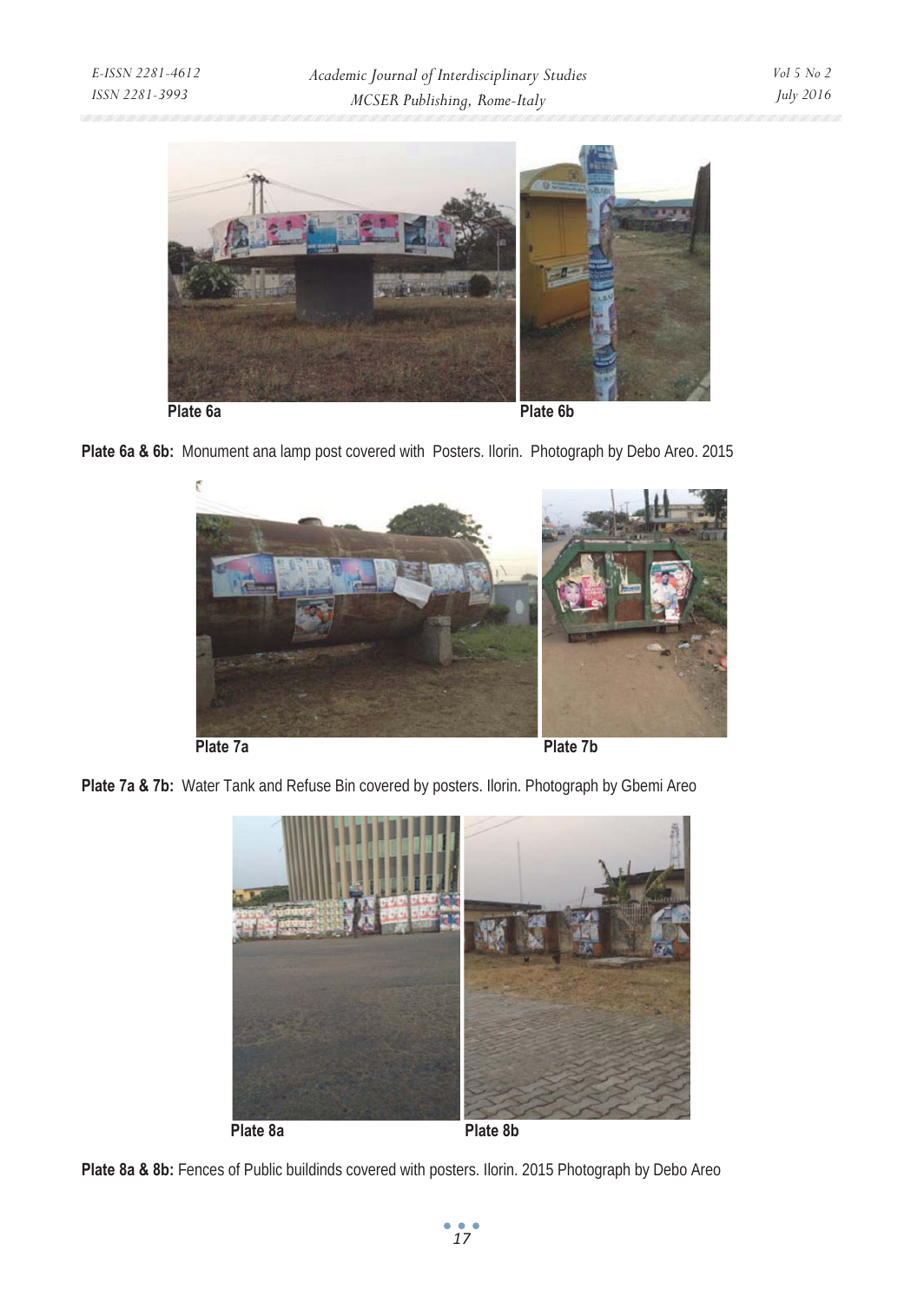

**Plate 6a & 6b:** Monument ana lamp post covered with Posters. Ilorin. Photograph by Debo Areo. 2015



Plate 7a & 7b: Water Tank and Refuse Bin covered by posters. Ilorin. Photograph by Gbemi Areo



Plate 8a & 8b: Fences of Public buildinds covered with posters. Ilorin. 2015 Photograph by Debo Areo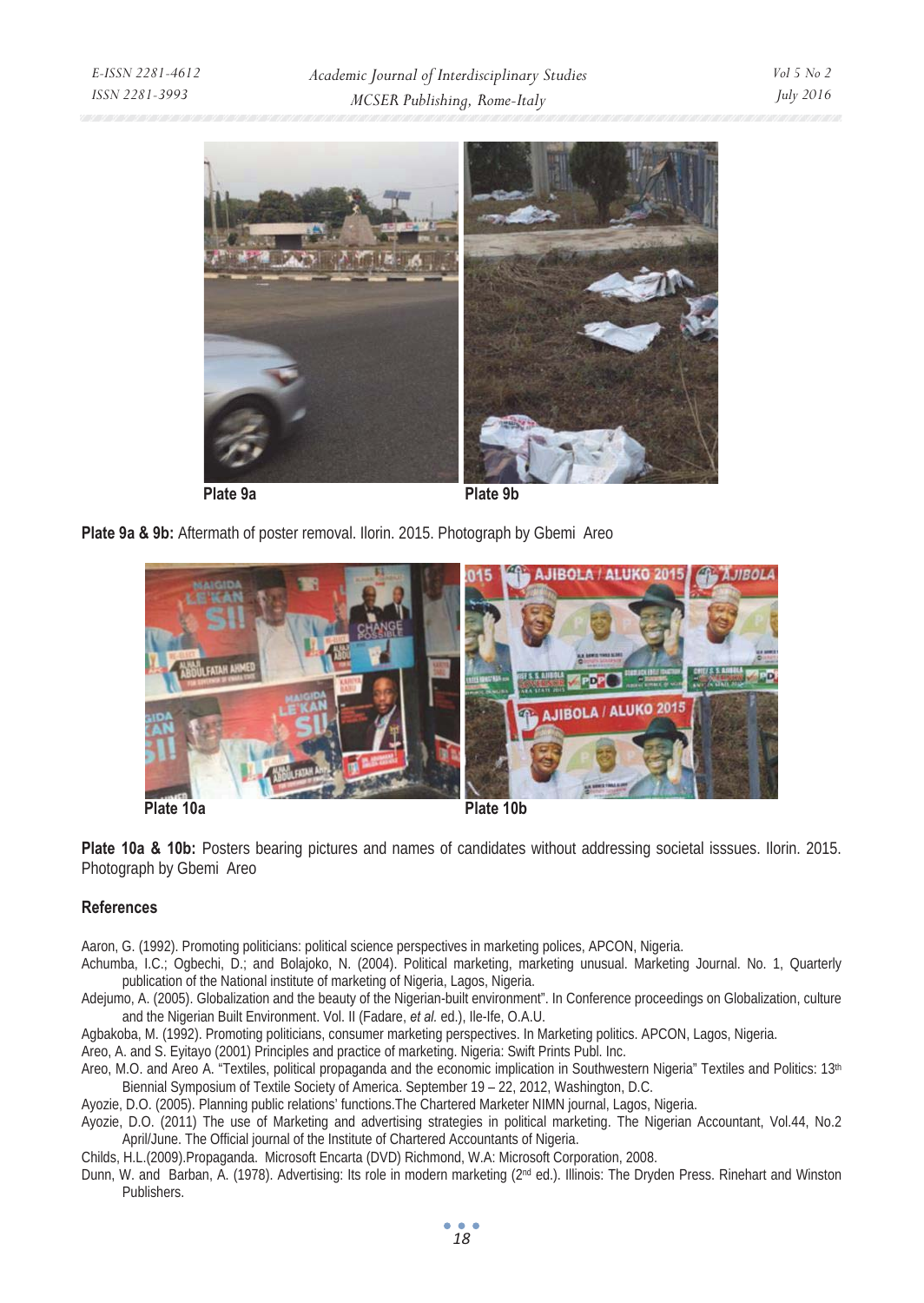

**Plate 9a & 9b:** Aftermath of poster removal. Ilorin. 2015. Photograph by Gbemi Areo



**Plate 10a & 10b:** Posters bearing pictures and names of candidates without addressing societal isssues. Ilorin. 2015. Photograph by Gbemi Areo

## **References**

Aaron, G. (1992). Promoting politicians: political science perspectives in marketing polices, APCON, Nigeria.

Achumba, I.C.; Ogbechi, D.; and Bolajoko, N. (2004). Political marketing, marketing unusual. Marketing Journal. No. 1, Quarterly publication of the National institute of marketing of Nigeria, Lagos, Nigeria.

Adejumo, A. (2005). Globalization and the beauty of the Nigerian-built environment". In Conference proceedings on Globalization, culture and the Nigerian Built Environment. Vol. II (Fadare, *et al.* ed.), Ile-Ife, O.A.U.

Agbakoba, M. (1992). Promoting politicians, consumer marketing perspectives. In Marketing politics. APCON, Lagos, Nigeria.

Areo, A. and S. Eyitayo (2001) Principles and practice of marketing. Nigeria: Swift Prints Publ. Inc.

Areo, M.O. and Areo A. "Textiles, political propaganda and the economic implication in Southwestern Nigeria" Textiles and Politics: 13<sup>th</sup> Biennial Symposium of Textile Society of America. September 19 – 22, 2012, Washington, D.C.

Ayozie, D.O. (2005). Planning public relations' functions.The Chartered Marketer NIMN journal, Lagos, Nigeria.

Ayozie, D.O. (2011) The use of Marketing and advertising strategies in political marketing. The Nigerian Accountant, Vol.44, No.2 April/June. The Official journal of the Institute of Chartered Accountants of Nigeria.

Childs, H.L.(2009).Propaganda. Microsoft Encarta (DVD) Richmond, W.A: Microsoft Corporation, 2008.

Dunn, W. and Barban, A. (1978). Advertising: Its role in modern marketing (2nd ed.). Illinois: The Dryden Press. Rinehart and Winston Publishers.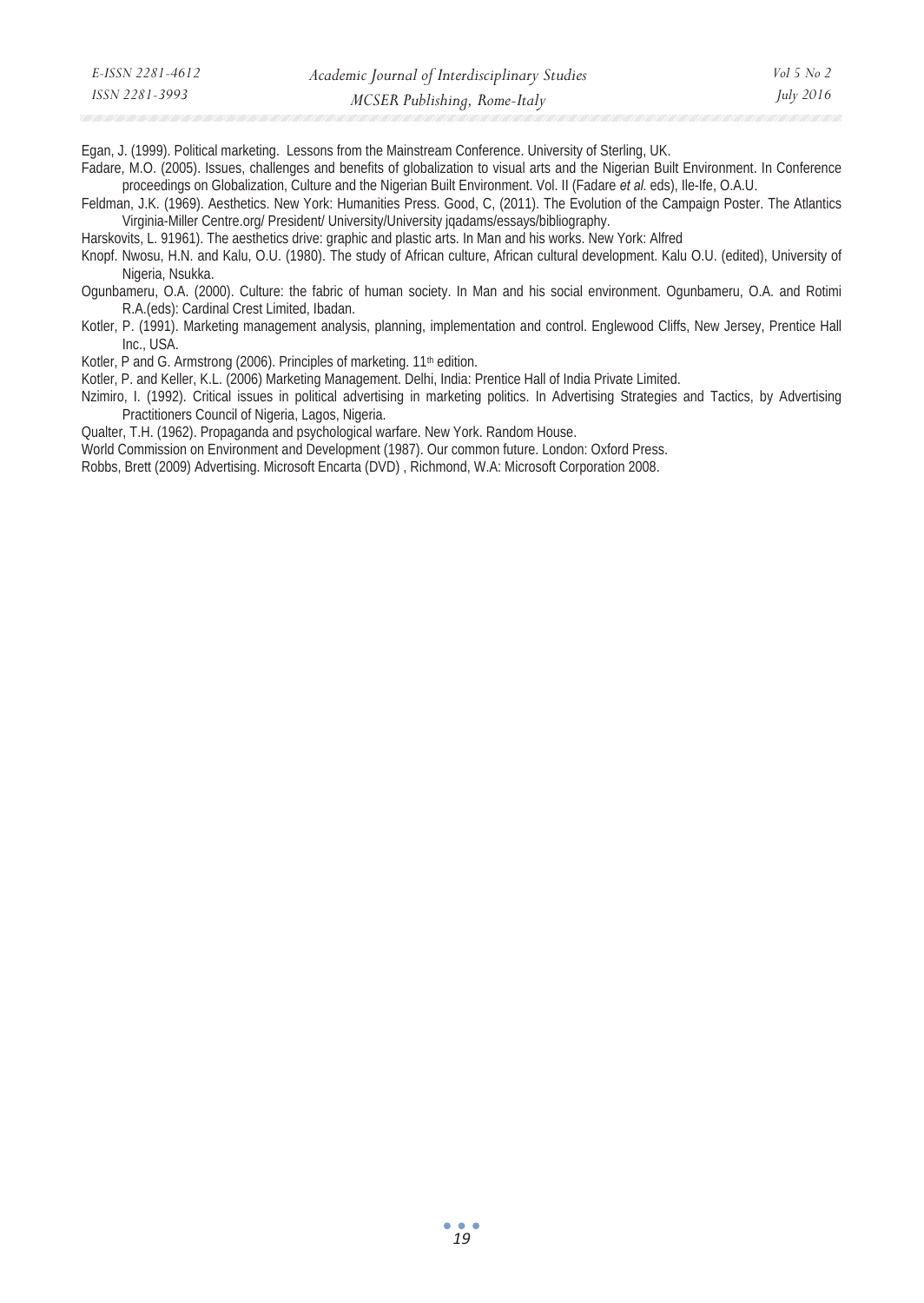Egan, J. (1999). Political marketing. Lessons from the Mainstream Conference. University of Sterling, UK.

Fadare, M.O. (2005). Issues, challenges and benefits of globalization to visual arts and the Nigerian Built Environment. In Conference proceedings on Globalization, Culture and the Nigerian Built Environment. Vol. II (Fadare *et al.* eds), Ile-Ife, O.A.U.

Feldman, J.K. (1969). Aesthetics. New York: Humanities Press. Good, C, (2011). The Evolution of the Campaign Poster. The Atlantics Virginia-Miller Centre.org/ President/ University/University jqadams/essays/bibliography.

Harskovits, L. 91961). The aesthetics drive: graphic and plastic arts. In Man and his works. New York: Alfred

Knopf. Nwosu, H.N. and Kalu, O.U. (1980). The study of African culture, African cultural development. Kalu O.U. (edited), University of Nigeria, Nsukka.

Ogunbameru, O.A. (2000). Culture: the fabric of human society. In Man and his social environment. Ogunbameru, O.A. and Rotimi R.A.(eds): Cardinal Crest Limited, Ibadan.

Kotler, P. (1991). Marketing management analysis, planning, implementation and control. Englewood Cliffs, New Jersey, Prentice Hall Inc., USA.

Kotler, P and G. Armstrong (2006). Principles of marketing. 11<sup>th</sup> edition.

Kotler, P. and Keller, K.L. (2006) Marketing Management. Delhi, India: Prentice Hall of India Private Limited.

Nzimiro, I. (1992). Critical issues in political advertising in marketing politics. In Advertising Strategies and Tactics, by Advertising Practitioners Council of Nigeria, Lagos, Nigeria.

Qualter, T.H. (1962). Propaganda and psychological warfare. New York. Random House.

World Commission on Environment and Development (1987). Our common future. London: Oxford Press.

Robbs, Brett (2009) Advertising. Microsoft Encarta (DVD) , Richmond, W.A: Microsoft Corporation 2008.